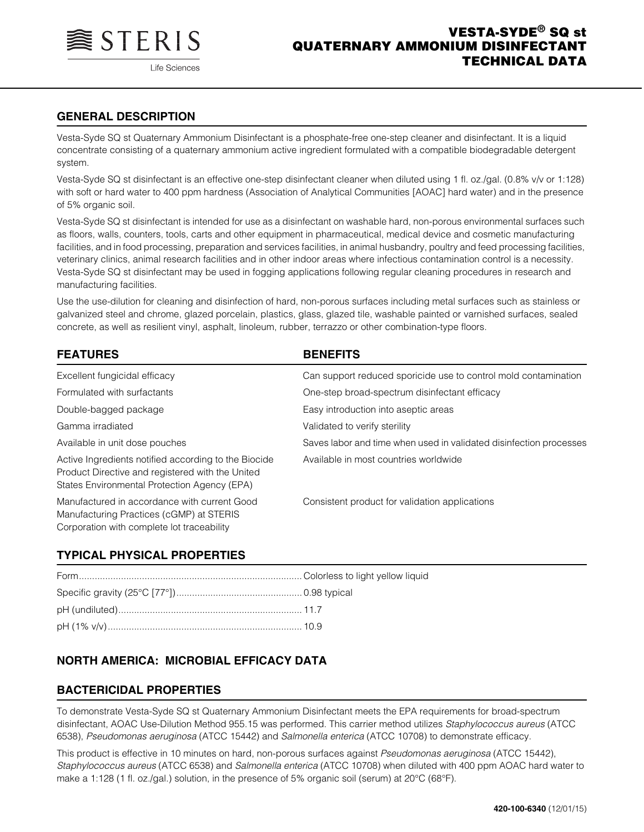

# **VESTA-SYDE® SQ QUATERNARY AMMONIUM DISINFECTA TECHNICAL DATA**

## **GENERAL DESCRIPTION**

Vesta-Syde SQ st Quaternary Ammonium Disinfectant is a phosphate-free one-step cleaner and disinfectant. It is a liquid concentrate consisting of a quaternary ammonium active ingredient formulated with a compatible biodegradable detergent system.

Vesta-Syde SQ st disinfectant is an effective one-step disinfectant cleaner when diluted using 1 fl. oz./gal. (0.8% v/v or 1:128) with soft or hard water to 400 ppm hardness (Association of Analytical Communities [AOAC] hard water) and in the presence of 5% organic soil.

Vesta-Syde SQ st disinfectant is intended for use as a disinfectant on washable hard, non-porous environmental surfaces such as floors, walls, counters, tools, carts and other equipment in pharmaceutical, medical device and cosmetic manufacturing facilities, and in food processing, preparation and services facilities, in animal husbandry, poultry and feed processing facilities, veterinary clinics, animal research facilities and in other indoor areas where infectious contamination control is a necessity. Vesta-Syde SQ st disinfectant may be used in fogging applications following regular cleaning procedures in research and manufacturing facilities.

Use the use-dilution for cleaning and disinfection of hard, non-porous surfaces including metal surfaces such as stainless or galvanized steel and chrome, glazed porcelain, plastics, glass, glazed tile, washable painted or varnished surfaces, sealed concrete, as well as resilient vinyl, asphalt, linoleum, rubber, terrazzo or other combination-type floors.

| <b>FEATURES</b>                                                                                                                                          | <b>BENEFITS</b>                                                    |
|----------------------------------------------------------------------------------------------------------------------------------------------------------|--------------------------------------------------------------------|
| Excellent fungicidal efficacy                                                                                                                            | Can support reduced sporicide use to control mold contamination    |
| Formulated with surfactants                                                                                                                              | One-step broad-spectrum disinfectant efficacy                      |
| Double-bagged package                                                                                                                                    | Easy introduction into aseptic areas                               |
| Gamma irradiated                                                                                                                                         | Validated to verify sterility                                      |
| Available in unit dose pouches                                                                                                                           | Saves labor and time when used in validated disinfection processes |
| Active Ingredients notified according to the Biocide<br>Product Directive and registered with the United<br>States Environmental Protection Agency (EPA) | Available in most countries worldwide                              |
| Manufactured in accordance with current Good<br>Manufacturing Practices (cGMP) at STERIS<br>Corporation with complete lot traceability                   | Consistent product for validation applications                     |

# **TYPICAL PHYSICAL PROPERTIES**

# **NORTH AMERICA: MICROBIAL EFFICACY DATA**

## **BACTERICIDAL PROPERTIES**

To demonstrate Vesta-Syde SQ st Quaternary Ammonium Disinfectant meets the EPA requirements for broad-spectrum disinfectant, AOAC Use-Dilution Method 955.15 was performed. This carrier method utilizes *Staphylococcus aureus* (ATCC 6538), *Pseudomonas aeruginosa* (ATCC 15442) and *Salmonella enterica* (ATCC 10708) to demonstrate efficacy.

This product is effective in 10 minutes on hard, non-porous surfaces against *Pseudomonas aeruginosa* (ATCC 15442), *Staphylococcus aureus* (ATCC 6538) and *Salmonella enterica* (ATCC 10708) when diluted with 400 ppm AOAC hard water to make a 1:128 (1 fl. oz./gal.) solution, in the presence of 5% organic soil (serum) at 20°C (68°F).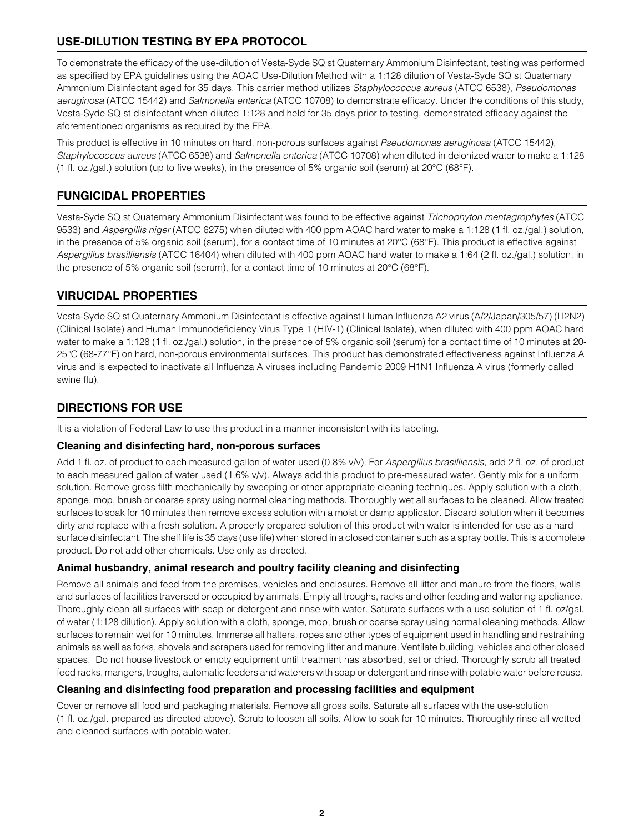# **USE-DILUTION TESTING BY EPA PROTOCOL**

To demonstrate the efficacy of the use-dilution of Vesta-Syde SQ st Quaternary Ammonium Disinfectant, testing was performed as specified by EPA guidelines using the AOAC Use-Dilution Method with a 1:128 dilution of Vesta-Syde SQ st Quaternary Ammonium Disinfectant aged for 35 days. This carrier method utilizes *Staphylococcus aureus* (ATCC 6538), *Pseudomonas aeruginosa* (ATCC 15442) and *Salmonella enterica* (ATCC 10708) to demonstrate efficacy. Under the conditions of this study, Vesta-Syde SQ st disinfectant when diluted 1:128 and held for 35 days prior to testing, demonstrated efficacy against the aforementioned organisms as required by the EPA.

This product is effective in 10 minutes on hard, non-porous surfaces against *Pseudomonas aeruginosa* (ATCC 15442), *Staphylococcus aureus* (ATCC 6538) and *Salmonella enterica* (ATCC 10708) when diluted in deionized water to make a 1:128 (1 fl. oz./gal.) solution (up to five weeks), in the presence of 5% organic soil (serum) at 20°C (68°F).

# **FUNGICIDAL PROPERTIES**

Vesta-Syde SQ st Quaternary Ammonium Disinfectant was found to be effective against *Trichophyton mentagrophytes* (ATCC 9533) and *Aspergillis niger* (ATCC 6275) when diluted with 400 ppm AOAC hard water to make a 1:128 (1 fl. oz./gal.) solution, in the presence of 5% organic soil (serum), for a contact time of 10 minutes at 20°C (68°F). This product is effective against *Aspergillus brasilliensis* (ATCC 16404) when diluted with 400 ppm AOAC hard water to make a 1:64 (2 fl. oz./gal.) solution, in the presence of 5% organic soil (serum), for a contact time of 10 minutes at 20°C (68°F).

## **VIRUCIDAL PROPERTIES**

Vesta-Syde SQ st Quaternary Ammonium Disinfectant is effective against Human Influenza A2 virus (A/2/Japan/305/57) (H2N2) (Clinical Isolate) and Human Immunodeficiency Virus Type 1 (HIV-1) (Clinical Isolate), when diluted with 400 ppm AOAC hard water to make a 1:128 (1 fl. oz./gal.) solution, in the presence of 5% organic soil (serum) for a contact time of 10 minutes at 20- 25°C (68-77°F) on hard, non-porous environmental surfaces. This product has demonstrated effectiveness against Influenza A virus and is expected to inactivate all Influenza A viruses including Pandemic 2009 H1N1 Influenza A virus (formerly called swine flu).

# **DIRECTIONS FOR USE**

It is a violation of Federal Law to use this product in a manner inconsistent with its labeling.

#### **Cleaning and disinfecting hard, non-porous surfaces**

Add 1 fl. oz. of product to each measured gallon of water used (0.8% v/v). For *Aspergillus brasilliensis*, add 2 fl. oz. of product to each measured gallon of water used (1.6% v/v). Always add this product to pre-measured water. Gently mix for a uniform solution. Remove gross filth mechanically by sweeping or other appropriate cleaning techniques. Apply solution with a cloth, sponge, mop, brush or coarse spray using normal cleaning methods. Thoroughly wet all surfaces to be cleaned. Allow treated surfaces to soak for 10 minutes then remove excess solution with a moist or damp applicator. Discard solution when it becomes dirty and replace with a fresh solution. A properly prepared solution of this product with water is intended for use as a hard surface disinfectant. The shelf life is 35 days (use life) when stored in a closed container such as a spray bottle. This is a complete product. Do not add other chemicals. Use only as directed.

### **Animal husbandry, animal research and poultry facility cleaning and disinfecting**

Remove all animals and feed from the premises, vehicles and enclosures. Remove all litter and manure from the floors, walls and surfaces of facilities traversed or occupied by animals. Empty all troughs, racks and other feeding and watering appliance. Thoroughly clean all surfaces with soap or detergent and rinse with water. Saturate surfaces with a use solution of 1 fl. oz/gal. of water (1:128 dilution). Apply solution with a cloth, sponge, mop, brush or coarse spray using normal cleaning methods. Allow surfaces to remain wet for 10 minutes. Immerse all halters, ropes and other types of equipment used in handling and restraining animals as well as forks, shovels and scrapers used for removing litter and manure. Ventilate building, vehicles and other closed spaces. Do not house livestock or empty equipment until treatment has absorbed, set or dried. Thoroughly scrub all treated feed racks, mangers, troughs, automatic feeders and waterers with soap or detergent and rinse with potable water before reuse.

### **Cleaning and disinfecting food preparation and processing facilities and equipment**

Cover or remove all food and packaging materials. Remove all gross soils. Saturate all surfaces with the use-solution (1 fl. oz./gal. prepared as directed above). Scrub to loosen all soils. Allow to soak for 10 minutes. Thoroughly rinse all wetted and cleaned surfaces with potable water.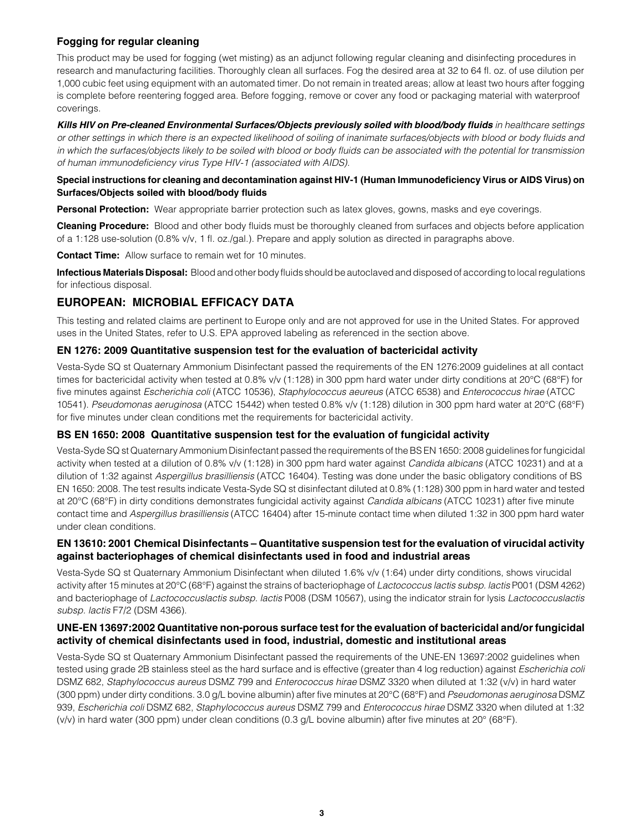## **Fogging for regular cleaning**

This product may be used for fogging (wet misting) as an adjunct following regular cleaning and disinfecting procedures in research and manufacturing facilities. Thoroughly clean all surfaces. Fog the desired area at 32 to 64 fl. oz. of use dilution per 1,000 cubic feet using equipment with an automated timer. Do not remain in treated areas; allow at least two hours after fogging is complete before reentering fogged area. Before fogging, remove or cover any food or packaging material with waterproof coverings.

*Kills HIV on Pre-cleaned Environmental Surfaces/Objects previously soiled with blood/body fluids in healthcare settings or other settings in which there is an expected likelihood of soiling of inanimate surfaces/objects with blood or body fluids and in which the surfaces/objects likely to be soiled with blood or body fluids can be associated with the potential for transmission of human immunodeficiency virus Type HIV-1 (associated with AIDS).*

#### **Special instructions for cleaning and decontamination against HIV-1 (Human Immunodeficiency Virus or AIDS Virus) on Surfaces/Objects soiled with blood/body fluids**

**Personal Protection:** Wear appropriate barrier protection such as latex gloves, gowns, masks and eye coverings.

**Cleaning Procedure:** Blood and other body fluids must be thoroughly cleaned from surfaces and objects before application of a 1:128 use-solution (0.8% v/v, 1 fl. oz./gal.). Prepare and apply solution as directed in paragraphs above.

**Contact Time:** Allow surface to remain wet for 10 minutes.

**Infectious Materials Disposal:** Blood and other body fluids should be autoclaved and disposed of according to local regulations for infectious disposal.

## **EUROPEAN: MICROBIAL EFFICACY DATA**

This testing and related claims are pertinent to Europe only and are not approved for use in the United States. For approved uses in the United States, refer to U.S. EPA approved labeling as referenced in the section above.

### **EN 1276: 2009 Quantitative suspension test for the evaluation of bactericidal activity**

Vesta-Syde SQ st Quaternary Ammonium Disinfectant passed the requirements of the EN 1276:2009 guidelines at all contact times for bactericidal activity when tested at 0.8% v/v (1:128) in 300 ppm hard water under dirty conditions at 20°C (68°F) for five minutes against *Escherichia coli* (ATCC 10536), *Staphylococcus aeureus* (ATCC 6538) and *Enterococcus hirae* (ATCC 10541). *Pseudomonas aeruginosa* (ATCC 15442) when tested 0.8% v/v (1:128) dilution in 300 ppm hard water at 20°C (68°F) for five minutes under clean conditions met the requirements for bactericidal activity.

### **BS EN 1650: 2008 Quantitative suspension test for the evaluation of fungicidal activity**

Vesta-Syde SQ st Quaternary Ammonium Disinfectant passed the requirements of the BS EN 1650: 2008 guidelines for fungicidal activity when tested at a dilution of 0.8% v/v (1:128) in 300 ppm hard water against *Candida albicans* (ATCC 10231) and at a dilution of 1:32 against *Aspergillus brasilliensis* (ATCC 16404). Testing was done under the basic obligatory conditions of BS EN 1650: 2008. The test results indicate Vesta-Syde SQ st disinfectant diluted at 0.8% (1:128) 300 ppm in hard water and tested at 20°C (68°F) in dirty conditions demonstrates fungicidal activity against *Candida albicans* (ATCC 10231) after five minute contact time and *Aspergillus brasilliensis* (ATCC 16404) after 15-minute contact time when diluted 1:32 in 300 ppm hard water under clean conditions.

### **EN 13610: 2001 Chemical Disinfectants – Quantitative suspension test for the evaluation of virucidal activity against bacteriophages of chemical disinfectants used in food and industrial areas**

Vesta-Syde SQ st Quaternary Ammonium Disinfectant when diluted 1.6% v/v (1:64) under dirty conditions, shows virucidal activity after 15 minutes at 20°C (68°F) against the strains of bacteriophage of *Lactococcus lactis subsp. lactis* P001 (DSM 4262) and bacteriophage of *Lactococcuslactis subsp. lactis* P008 (DSM 10567), using the indicator strain for lysis *Lactococcuslactis subsp. lactis* F7/2 (DSM 4366).

### **UNE-EN 13697:2002 Quantitative non-porous surface test for the evaluation of bactericidal and/or fungicidal activity of chemical disinfectants used in food, industrial, domestic and institutional areas**

Vesta-Syde SQ st Quaternary Ammonium Disinfectant passed the requirements of the UNE-EN 13697:2002 guidelines when tested using grade 2B stainless steel as the hard surface and is effective (greater than 4 log reduction) against *Escherichia coli*  DSMZ 682, *Staphylococcus aureus* DSMZ 799 and *Enterococcus hirae* DSMZ 3320 when diluted at 1:32 (v/v) in hard water (300 ppm) under dirty conditions. 3.0 g/L bovine albumin) after five minutes at 20°C (68°F) and *Pseudomonas aeruginosa* DSMZ 939, *Escherichia coli* DSMZ 682, *Staphylococcus aureus* DSMZ 799 and *Enterococcus hirae* DSMZ 3320 when diluted at 1:32 (v/v) in hard water (300 ppm) under clean conditions (0.3 g/L bovine albumin) after five minutes at 20° (68°F).